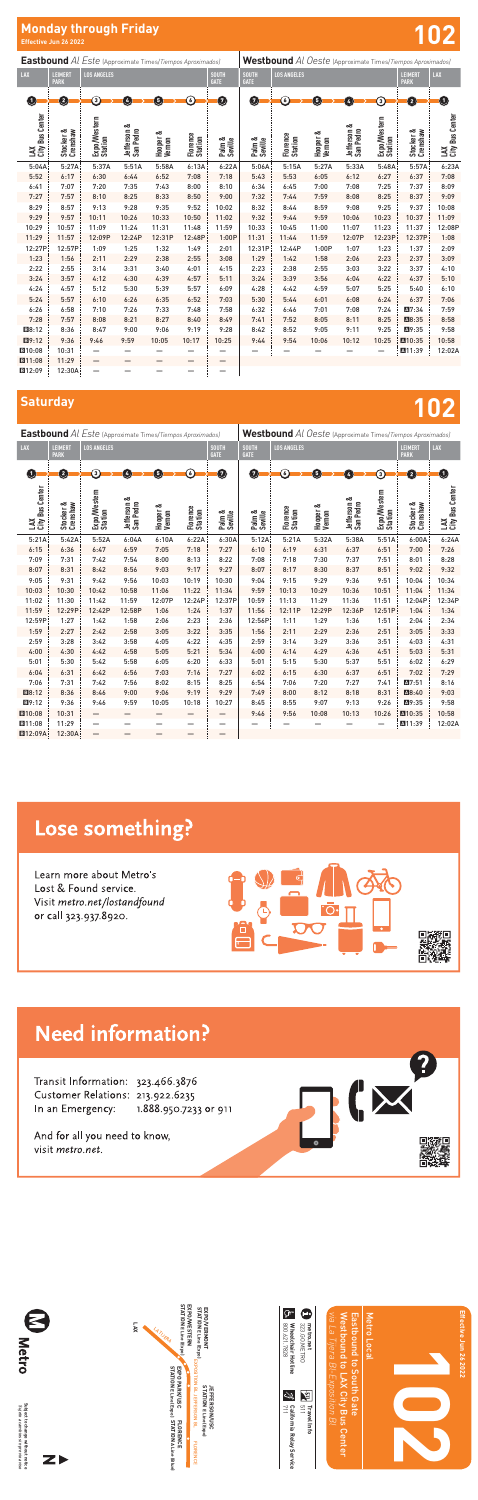**Saturday 102**

#### **Effective Jun 26 2022 Effective Jun 26 2022 Monday through Friday**

| <b>Eastbound</b> Al Este (Approximate Times/Tiempos Aproximados) |                        |                         |                          |                          |                     |                             | Westbound Al Oeste (Approximate Times/Tiempos Aproximados) |                     |                    |                          |                         |                               |                        |  |
|------------------------------------------------------------------|------------------------|-------------------------|--------------------------|--------------------------|---------------------|-----------------------------|------------------------------------------------------------|---------------------|--------------------|--------------------------|-------------------------|-------------------------------|------------------------|--|
| LAX                                                              | LEIMERT<br><b>PARK</b> | <b>LOS ANGELES</b>      |                          |                          |                     | <b>SOUTH</b><br><b>GATE</b> | <b>SOUTH</b><br><b>GATE</b>                                | <b>LOS ANGELES</b>  |                    |                          |                         | <b>LEIMERT</b><br><b>PARK</b> | LAX                    |  |
| Ω                                                                | Ø                      | ြ                       | $\overline{4}$           | 5                        | $\epsilon$          | Ø                           | Ø                                                          | $\epsilon$          | 5                  | 4                        | 3)                      | $\mathbf 2$                   | O                      |  |
| LAX<br>City Bus Center                                           | Stocker &<br>Crenshaw  | Expo/Western<br>Station | Jefferson &<br>San Pedro | ంర<br>Hooper &<br>Vernon | Florence<br>Station | Palm &<br>Seville           | Palm &<br>Seville                                          | Florence<br>Station | Hooper &<br>Vernon | Jefferson &<br>San Pedro | Expo/Western<br>Station | Stocker &<br>Crenshaw         | LAX<br>City Bus Center |  |
| 5:21A                                                            | 5:42A                  | 5:52A                   | 6:04A                    | 6:10A                    | 6:22A               | 6:30A                       | 5:12A                                                      | 5:21A               | 5:32A              | 5:38A                    | 5:51A                   | 6:00A                         | 6:24A                  |  |
| 6:15                                                             | 6:36                   | 6:47                    | 6:59                     | 7:05                     | 7:18                | 7:27                        | 6:10                                                       | 6:19                | 6:31               | 6:37                     | 6:51                    | 7:00                          | 7:26                   |  |
| 7:09                                                             | 7:31                   | 7:42                    | 7:54                     | 8:00                     | 8:13                | 8:22                        | 7:08                                                       | 7:18                | 7:30               | 7:37                     | 7:51                    | 8:01                          | 8:28                   |  |
| 8:07                                                             | 8:31                   | 8:42                    | 8:56                     | 9:03                     | 9:17                | 9:27                        | 8:07                                                       | 8:17                | 8:30               | 8:37                     | 8:51                    | 9:02                          | 9:32                   |  |
| 9:05                                                             | 9:31                   | 9:42                    | 9:56                     | 10:03                    | 10:19               | 10:30                       | 9:04                                                       | 9:15                | 9:29               | 9:36                     | 9:51                    | 10:04                         | 10:34                  |  |
| 10:03                                                            | 10:30                  | 10:42                   | 10:58                    | 11:06                    | 11:22               | 11:34                       | 9:59                                                       | 10:13               | 10:29              | 10:36                    | 10:51                   | 11:04                         | 11:34                  |  |
| 11:02                                                            | 11:30                  | 11:42                   | 11:59                    | 12:07P                   | 12:24P              | 12:37P                      | 10:59                                                      | 11:13               | 11:29              | 11:36                    | 11:51                   | 12:04P                        | 12:34P                 |  |
| 11:59                                                            | 12:29P                 | 12:42P                  | 12:58P                   | 1:06                     | 1:24                | 1:37                        | 11:56                                                      | 12:11P              | 12:29P             | 12:36P                   | 12:51P                  | 1:04                          | 1:34                   |  |
| 12:59P                                                           | 1:27                   | 1:42                    | 1:58                     | 2:06                     | 2:23                | 2:36                        | 12:56P                                                     | 1:11                | 1:29               | 1:36                     | 1:51                    | 2:04                          | 2:34                   |  |
| 1:59                                                             | 2:27                   | 2:42                    | 2:58                     | 3:05                     | 3:22                | 3:35                        | 1:56                                                       | 2:11                | 2:29               | 2:36                     | 2:51                    | 3:05                          | 3:33                   |  |
| 2:59                                                             | 3:28                   | 3:42                    | 3:58                     | 4:05                     | 4:22                | 4:35                        | 2:59                                                       | 3:14                | 3:29               | 3:36                     | 3:51                    | 4:03                          | 4:31                   |  |
| 4:00                                                             | 4:30                   | 4:42                    | 4:58                     | 5:05                     | 5:21                | 5:34                        | 4:00                                                       | 4:14                | 4:29               | 4:36                     | 4:51                    | 5:03                          | 5:31                   |  |
| 5:01                                                             | 5:30                   | 5:42                    | 5:58                     | 6:05                     | 6:20                | 6:33                        | 5:01                                                       | 5:15                | 5:30               | 5:37                     | 5:51                    | 6:02                          | 6:29                   |  |
| 6:04                                                             | 6:31                   | 6:42                    | 6:56                     | 7:03                     | 7:16                | 7:27                        | 6:02                                                       | 6:15                | 6:30               | 6:37                     | 6:51                    | 7:02                          | 7:29                   |  |
| 7:06                                                             | 7:31                   | 7:42                    | 7:56                     | 8:02                     | 8:15                | 8:25                        | 6:54                                                       | 7:06                | 7:20               | 7:27                     | 7:41                    | A7:51                         | 8:16                   |  |
| B8:12                                                            | 8:36                   | 8:46                    | 9:00                     | 9:06                     | 9:19                | 9:29                        | 7:49                                                       | 8:00                | 8:12               | 8:18                     | 8:31                    | ■8:40                         | 9:03                   |  |
| 图9:12                                                            | 9:36                   | 9:46                    | 9:59                     | 10:05                    | 10:18               | 10:27                       | 8:45                                                       | 8:55                | 9:07               | 9:13                     | 9:26                    | ■9:35                         | 9:58                   |  |
| <b>E</b> 10:08                                                   | 10:31                  | —                       | —                        |                          |                     |                             | 9:46                                                       | 9:56                | 10:08              | 10:13                    | 10:26                   | A10:35                        | 10:58                  |  |
| ■11:08                                                           | 11:29                  |                         |                          |                          |                     |                             |                                                            |                     |                    |                          |                         | A11:39                        | 12:02A                 |  |
| <b>E12:09A</b>                                                   | 12:30A                 | —                       |                          |                          |                     |                             |                                                            |                     |                    |                          |                         |                               |                        |  |

## Lose something?

Learn more about Metro's Lost & Found service. Visit metro.net/lostandfound or call 323.937.8920.





## **Need information?**

Transit Information: 323.466.3876 Customer Relations: 213.922.6235 In an Emergency: 1.888.950.7233 or 911

And for all you need to know, visit metro.net.

**Eastbound** *Al Este* (Approximate Times/*Tiempos Aproximados)* **LAX LEIMERT PARK LOS ANGELES GATE LAX City Bus Center Stocker & Crenshaw Expo/Western Station Jefferson & San Pedro Hooper & Vernon Florence Station Palm & Seville** 5:04A 5:27A 5:37A 5:51A 5:58A 6:13A 6:22A 5:52 6:17 6:30 6:44 6:52 7:08 7:18 6:41 7:07 7:20 7:35 7:43 8:00 8:10 7:27 7:57 8:10 8:25 8:33 8:50 9:00 8:29 8:57 9:13 9:28 9:35 9:52 10:02 9:29 9:57 10:11 10:26 10:33 10:50 11:02 10:29 10:57 11:09 11:24 11:31 11:48 11:59 11:29 11:57 12:09P 12:24P 12:31P 12:48P 1:00P 12:27P 12:57P 1:09 1:25 1:32 1:49 2:01 1:23 1:56 2:11 2:29 2:38 2:55 3:08 2:22 2:55 3:14 3:31 3:40 4:01 4:15 3:24 3:57 4:12 4:30 4:39 4:57 5:11 4:24 4:57 5:12 5:30 5:39 5:57 6:09 5:24 5:57 6:10 6:26 6:35 6:52 7:03 6:26 6:58 7:10 7:26 7:33 7:48 7:58 7:28 7:57 8:08 8:21 8:27 8:40 8:49 B8:12 8:36 8:47 9:00 9:06 9:19 9:28 B9:12 9:36 9:46 9:59 10:05 10:17 10:25 **B**10:08 | 10:31 | — — — — — — | —  $\boxed{ \blacksquare 11:08 }$  11:29 – **B12:09** 12:30A — — — — — — **Westbound** *Al Oeste* (Approximate Times/*Tiempos Aproximados)* **SOUTH GATE LOS ANGELES LEIMERT LAX Palm & Seville Florence Station Hooper & Vernon Jefferson & San Pedro Expo/Western Station Stocker & Crenshaw LAX City Bus Center** 5:06A 5:15A 5:27A 5:33A 5:48A 5:57A 6:23A 5:43 5:53 6:05 6:12 6:27 6:37 7:08 6:34 6:45 7:00 7:08 7:25 7:37 8:09 7:32 7:44 7:59 8:08 8:25 8:37 9:09 8:32 8:44 8:59 9:08 9:25 9:37 10:08 9:32 9:44 9:59 10:06 10:23 10:37 11:09 10:33 10:45 11:00 11:07 11:23 11:37 12:08P 11:31 11:44 11:59 12:07P 12:23P 12:37P 1:08 12:31P 12:44P 1:00P 1:07 1:23 1:37 2:09 1:29 1:42 1:58 2:06 2:23 2:37 3:09 2:23 2:38 2:55 3:03 3:22 3:37 4:10 3:24 3:39 3:56 4:04 4:22 4:37 5:10 4:28 4:42 4:59 5:07 5:25 5:40 6:10 5:30 5:44 6:01 6:08 6:24 6:37 7:06 6:32 6:46 7:01 7:08 7:24 A7:34 7:59 7:41 7:52 8:05 8:11 8:25 M28:35 8:58 8:42 8:52 9:05 9:11 9:25 A9:35 9:58  $\begin{array}{c|cccc} 9:44 & 9:54 & 10:06 & 10:12 & 10:25 & \boxed{10:035} & 10:58 \\ - & - & - & - & - & - & \boxed{10:13:9} & 12:02. \end{array}$ — — — — — A11:39 12:02A 0--0--0--0--0--0-0 | 0--0--0--0--0--0--0